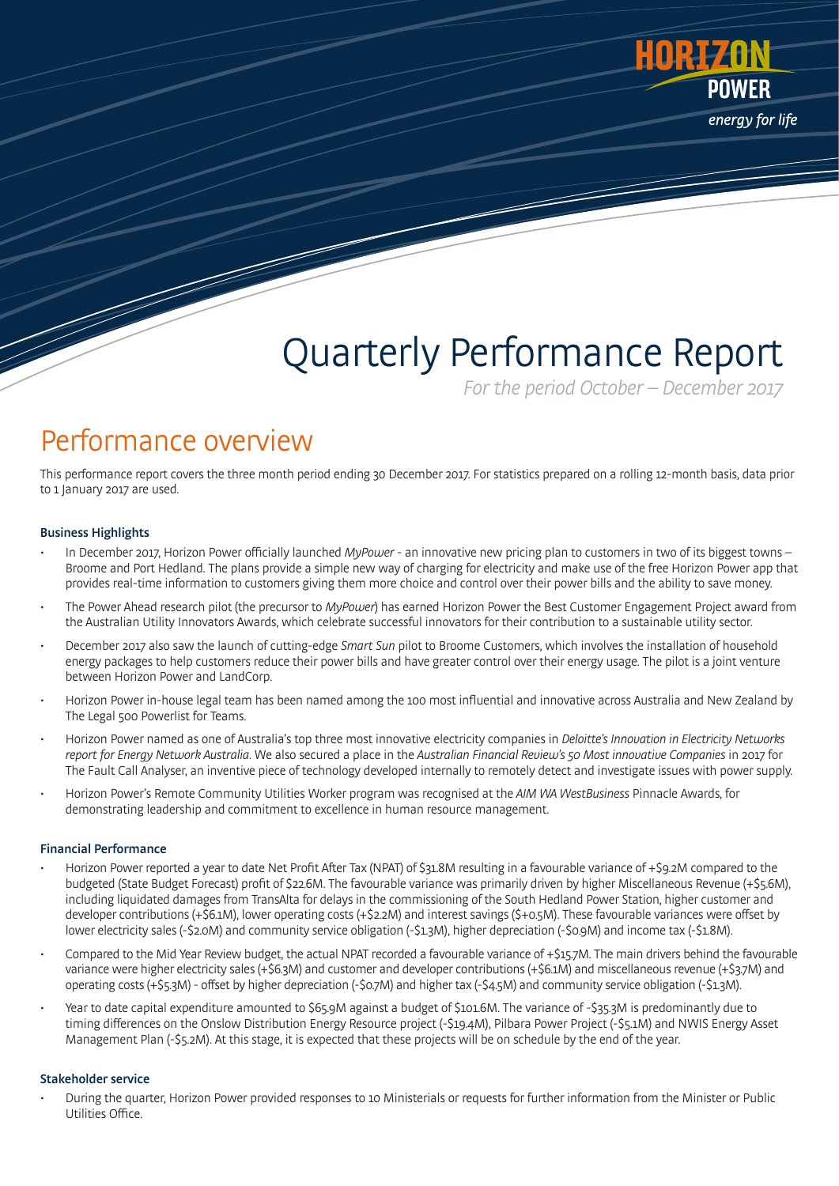

# Quarterly Performance Report

For the period October – December 2017

### Performance overview

This performance report covers the three month period ending 30 December 2017. For statistics prepared on a rolling 12-month basis, data prior to 1 January 2017 are used.

#### Business Highlights

- In December 2017, Horizon Power officially launched MyPower an innovative new pricing plan to customers in two of its biggest towns Broome and Port Hedland. The plans provide a simple new way of charging for electricity and make use of the free Horizon Power app that provides real-time information to customers giving them more choice and control over their power bills and the ability to save money.
- The Power Ahead research pilot (the precursor to MyPower) has earned Horizon Power the Best Customer Engagement Project award from the Australian Utility Innovators Awards, which celebrate successful innovators for their contribution to a sustainable utility sector.
- December 2017 also saw the launch of cutting-edge Smart Sun pilot to Broome Customers, which involves the installation of household energy packages to help customers reduce their power bills and have greater control over their energy usage. The pilot is a joint venture between Horizon Power and LandCorp.
- Horizon Power in-house legal team has been named among the 100 most influential and innovative across Australia and New Zealand by The Legal 500 Powerlist for Teams.
- Horizon Power named as one of Australia's top three most innovative electricity companies in Deloitte's Innovation in Electricity Networks report for Energy Network Australia. We also secured a place in the Australian Financial Review's 50 Most innovative Companies in 2017 for The Fault Call Analyser, an inventive piece of technology developed internally to remotely detect and investigate issues with power supply.
- Horizon Power's Remote Community Utilities Worker program was recognised at the AIM WA WestBusiness Pinnacle Awards, for demonstrating leadership and commitment to excellence in human resource management.

#### Financial Performance

- Horizon Power reported a year to date Net Profit After Tax (NPAT) of \$31.8M resulting in a favourable variance of +\$9.2M compared to the budgeted (State Budget Forecast) profit of \$22.6M. The favourable variance was primarily driven by higher Miscellaneous Revenue (+\$5.6M), including liquidated damages from TransAlta for delays in the commissioning of the South Hedland Power Station, higher customer and developer contributions (+\$6.1M), lower operating costs (+\$2.2M) and interest savings (\$+0.5M). These favourable variances were offset by lower electricity sales (-\$2.0M) and community service obligation (-\$1.3M), higher depreciation (-\$0.9M) and income tax (-\$1.8M).
- Compared to the Mid Year Review budget, the actual NPAT recorded a favourable variance of +\$15.7M. The main drivers behind the favourable variance were higher electricity sales (+\$6.3M) and customer and developer contributions (+\$6.1M) and miscellaneous revenue (+\$3.7M) and operating costs (+\$5.3M) - offset by higher depreciation (-\$0.7M) and higher tax (-\$4.5M) and community service obligation (-\$1.3M).
- Year to date capital expenditure amounted to \$65.9M against a budget of \$101.6M. The variance of -\$35.3M is predominantly due to timing differences on the Onslow Distribution Energy Resource project (-\$19.4M), Pilbara Power Project (-\$5.1M) and NWIS Energy Asset Management Plan (-\$5.2M). At this stage, it is expected that these projects will be on schedule by the end of the year.

#### Stakeholder service

• During the quarter, Horizon Power provided responses to 10 Ministerials or requests for further information from the Minister or Public Utilities Office.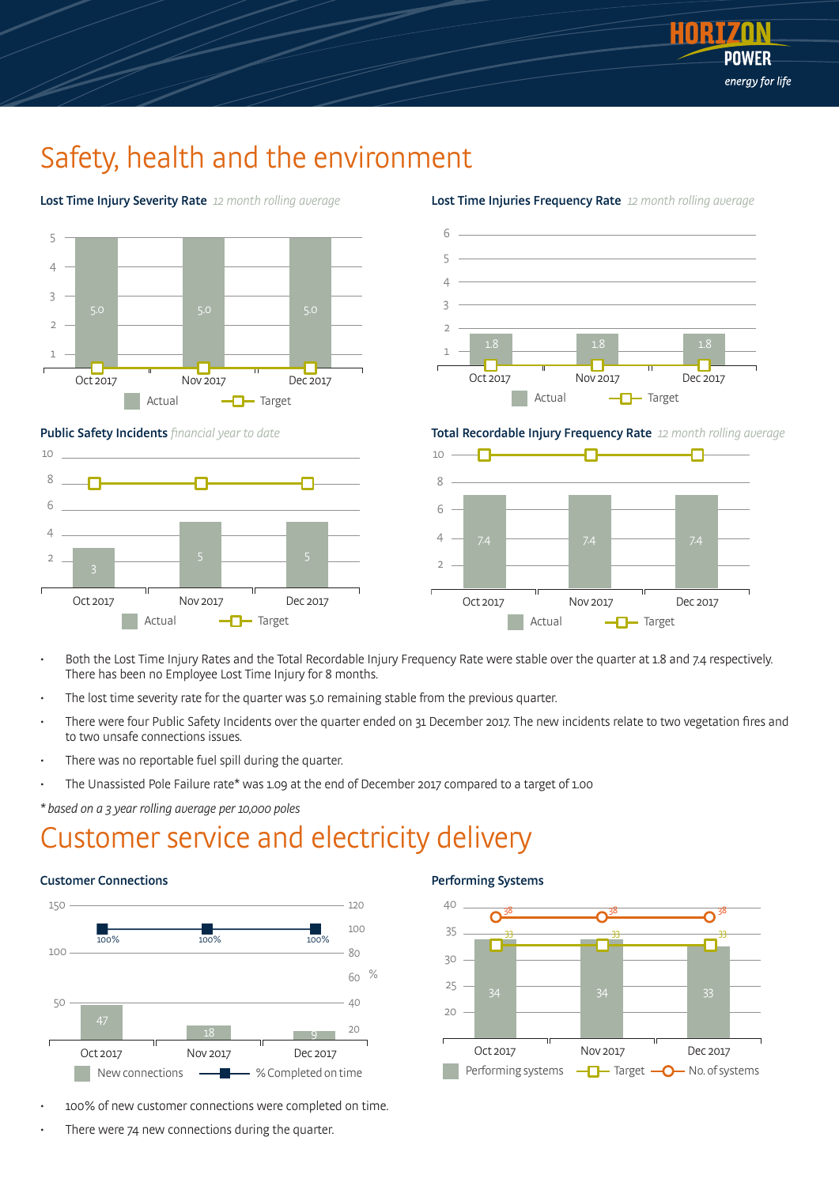

### Safety, health and the environment



Lost Time Injury Severity Rate 12 month rolling average



Lost Time Injuries Frequency Rate 12 month rolling average

Total Recordable Injury Frequency Rate 12 month rolling average



 $\overline{2}$ 5 5 3 Oct 2017 Nov 2017 Dec 2017

- Target

ብ

- Both the Lost Time Injury Rates and the Total Recordable Injury Frequency Rate were stable over the quarter at 1.8 and 7.4 respectively. There has been no Employee Lost Time Injury for 8 months.
- The lost time severity rate for the quarter was 5.0 remaining stable from the previous quarter.
- There were four Public Safety Incidents over the quarter ended on 31 December 2017. The new incidents relate to two vegetation fires and to two unsafe connections issues.
- There was no reportable fuel spill during the quarter.
- The Unassisted Pole Failure rate\* was 1.09 at the end of December 2017 compared to a target of 1.00

 $20$ 40

\* based on a 3 year rolling average per 10,000 poles

Actual

Public Safety Incidents financial year to date

### Customer service and electricity delivery



• 100% of new customer connections were completed on time.

Oct 2017 Nov 2017 Dec 2017

New connections  $\longrightarrow$   $\longrightarrow$  % Completed on time

There were 74 new connections during the quarter.

#### Performing Systems

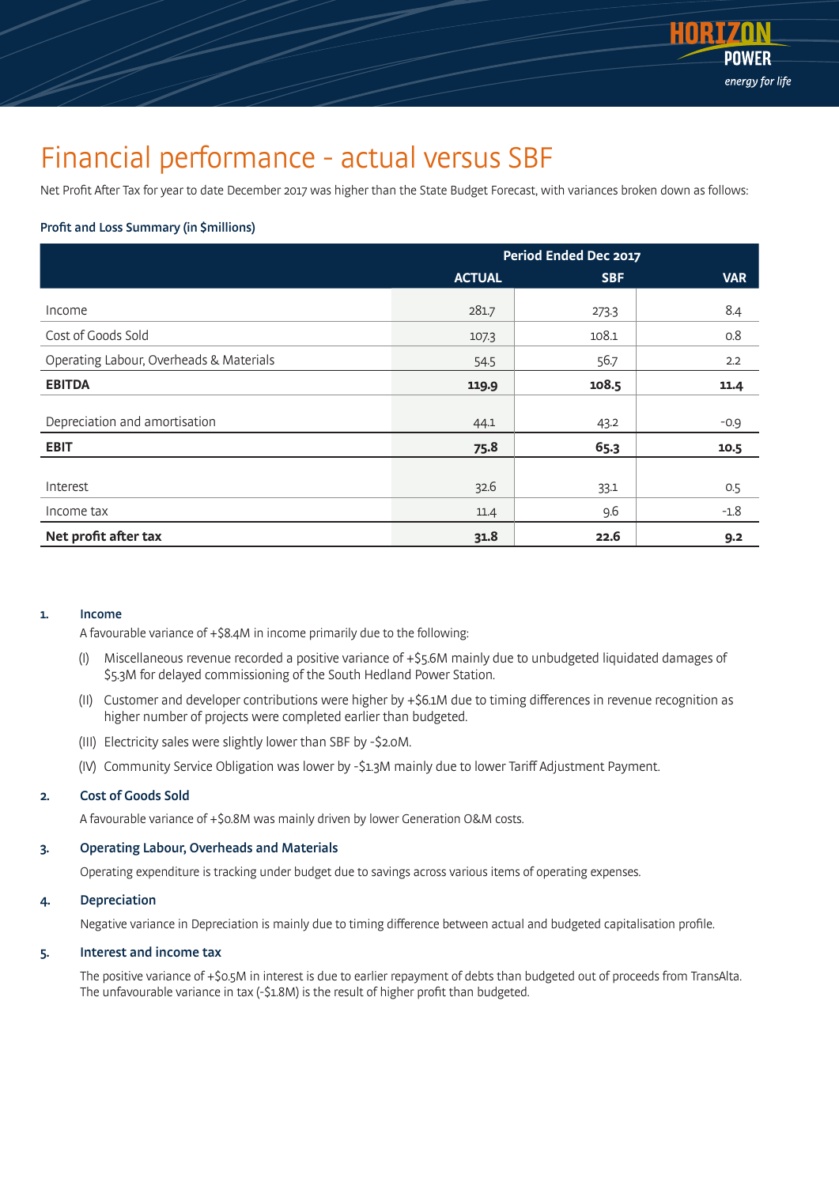

### Financial performance - actual versus SBF

Net Profit After Tax for year to date December 2017 was higher than the State Budget Forecast, with variances broken down as follows:

#### Profit and Loss Summary (in \$millions)

|                                         | Period Ended Dec 2017 |            |            |  |
|-----------------------------------------|-----------------------|------------|------------|--|
|                                         | <b>ACTUAL</b>         | <b>SBF</b> | <b>VAR</b> |  |
| Income                                  | 281.7                 | 273.3      | 8.4        |  |
| Cost of Goods Sold                      | 107.3                 | 108.1      | 0.8        |  |
| Operating Labour, Overheads & Materials | 54.5                  | 56.7       | 2.2        |  |
| <b>EBITDA</b>                           | 119.9                 | 108.5      | 11.4       |  |
| Depreciation and amortisation           | 44.1                  | 43.2       | $-0.9$     |  |
| <b>EBIT</b>                             | 75.8                  | 65.3       | 10.5       |  |
|                                         |                       |            |            |  |
| Interest                                | 32.6                  | 33.1       | 0.5        |  |
| Income tax                              | 11.4                  | 9.6        | $-1.8$     |  |
| Net profit after tax                    | 31.8                  | 22.6       | 9.2        |  |

#### 1. Income

A favourable variance of +\$8.4M in income primarily due to the following:

- (I) Miscellaneous revenue recorded a positive variance of +\$5.6M mainly due to unbudgeted liquidated damages of \$5.3M for delayed commissioning of the South Hedland Power Station.
- (II) Customer and developer contributions were higher by +\$6.1M due to timing differences in revenue recognition as higher number of projects were completed earlier than budgeted.
- (III) Electricity sales were slightly lower than SBF by -\$2.0M.
- (IV) Community Service Obligation was lower by -\$1.3M mainly due to lower Tariff Adjustment Payment.

#### 2. Cost of Goods Sold

A favourable variance of +\$0.8M was mainly driven by lower Generation O&M costs.

#### 3. Operating Labour, Overheads and Materials

Operating expenditure is tracking under budget due to savings across various items of operating expenses.

#### 4. Depreciation

Negative variance in Depreciation is mainly due to timing difference between actual and budgeted capitalisation profile.

#### 5. Interest and income tax

The positive variance of +\$0.5M in interest is due to earlier repayment of debts than budgeted out of proceeds from TransAlta. The unfavourable variance in tax (-\$1.8M) is the result of higher profit than budgeted.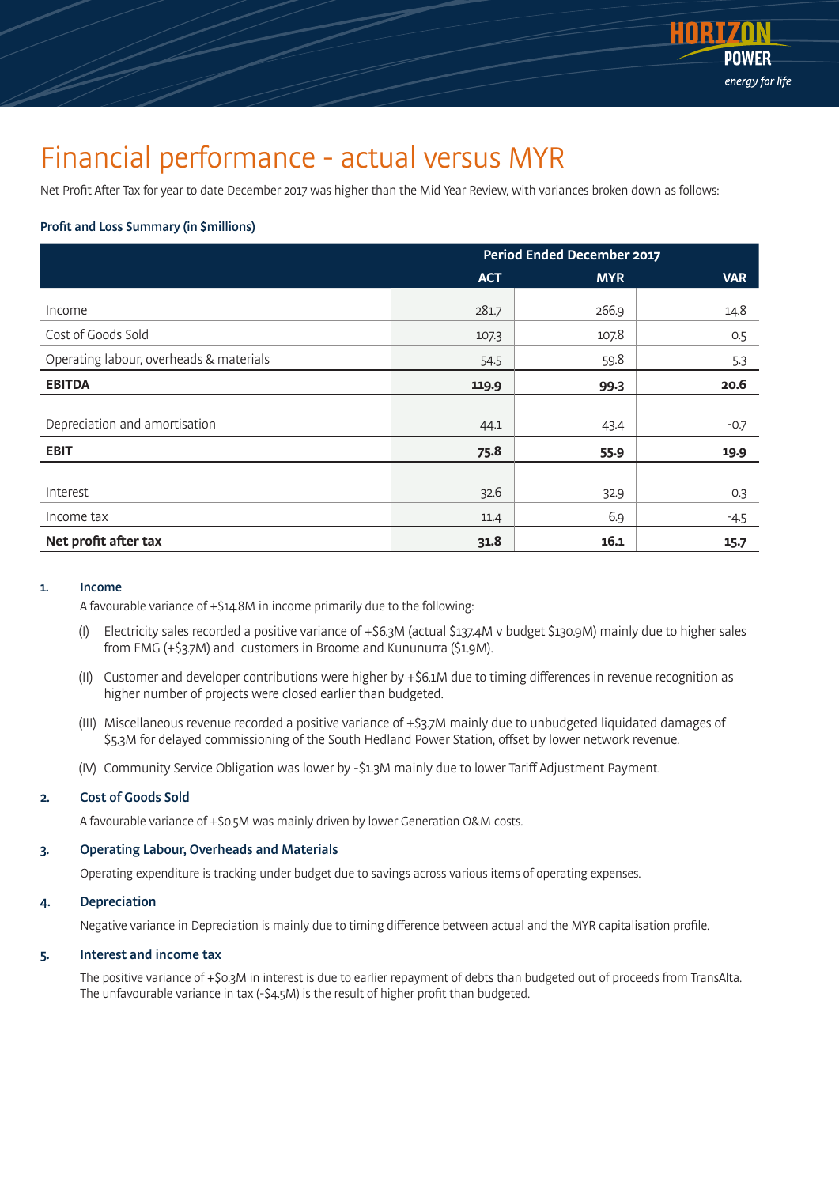

### Financial performance - actual versus MYR

Net Profit After Tax for year to date December 2017 was higher than the Mid Year Review, with variances broken down as follows:

#### Profit and Loss Summary (in \$millions)

|                                         | <b>Period Ended December 2017</b> |            |            |  |
|-----------------------------------------|-----------------------------------|------------|------------|--|
|                                         | <b>ACT</b>                        | <b>MYR</b> | <b>VAR</b> |  |
| Income                                  | 281.7                             | 266.9      | 14.8       |  |
| Cost of Goods Sold                      | 107.3                             | 107.8      | 0.5        |  |
| Operating labour, overheads & materials | 54.5                              | 59.8       | 5.3        |  |
| <b>EBITDA</b>                           | 119.9                             | 99.3       | 20.6       |  |
| Depreciation and amortisation           | 44.1                              | 43.4       | $-0.7$     |  |
| <b>EBIT</b>                             | 75.8                              | 55.9       | 19.9       |  |
|                                         |                                   |            |            |  |
| Interest                                | 32.6                              | 32.9       | 0.3        |  |
| Income tax                              | 11.4                              | 6.9        | -4.5       |  |
| Net profit after tax                    | 31.8                              | 16.1       | 15.7       |  |

#### 1. Income

A favourable variance of +\$14.8M in income primarily due to the following:

- (I) Electricity sales recorded a positive variance of +\$6.3M (actual \$137.4M v budget \$130.9M) mainly due to higher sales from FMG (+\$3.7M) and customers in Broome and Kununurra (\$1.9M).
- (II) Customer and developer contributions were higher by +\$6.1M due to timing differences in revenue recognition as higher number of projects were closed earlier than budgeted.
- (III) Miscellaneous revenue recorded a positive variance of +\$3.7M mainly due to unbudgeted liquidated damages of \$5.3M for delayed commissioning of the South Hedland Power Station, offset by lower network revenue.
- (IV) Community Service Obligation was lower by -\$1.3M mainly due to lower Tariff Adjustment Payment.

#### 2. Cost of Goods Sold

A favourable variance of +\$0.5M was mainly driven by lower Generation O&M costs.

#### 3. Operating Labour, Overheads and Materials

Operating expenditure is tracking under budget due to savings across various items of operating expenses.

#### 4. Depreciation

Negative variance in Depreciation is mainly due to timing difference between actual and the MYR capitalisation profile.

#### 5. Interest and income tax

The positive variance of +\$0.3M in interest is due to earlier repayment of debts than budgeted out of proceeds from TransAlta. The unfavourable variance in tax (-\$4.5M) is the result of higher profit than budgeted.